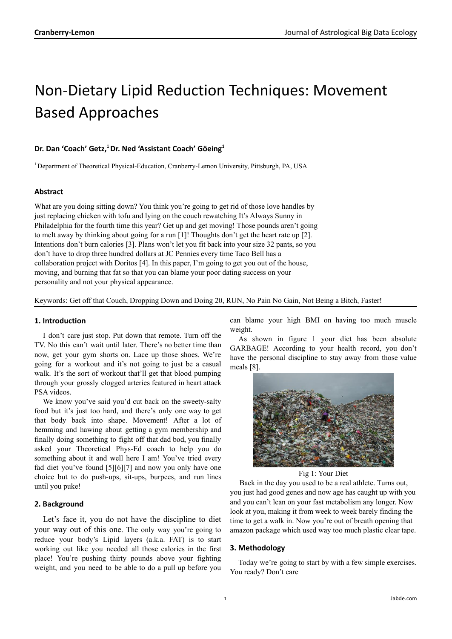# Non-Dietary Lipid Reduction Techniques: Movement Based Approaches

## **Dr. Dan 'Coach' Getz, <sup>1</sup>Dr. Ned 'Assistant Coach' Göeing 1**

<sup>1</sup> Department of Theoretical Physical-Education, Cranberry-Lemon University, Pittsburgh, PA, USA

## **Abstract**

What are you doing sitting down? You think you're going to get rid of those love handles by just replacing chicken with tofu and lying on the couch rewatching It's Always Sunny in Philadelphia for the fourth time this year? Get up and get moving! Those pounds aren't going to melt away by thinking about going for a run [1]! Thoughts don't get the heart rate up [2]. Intentions don't burn calories [3]. Plans won't let you fit back into your size 32 pants, so you don't have to drop three hundred dollars at JC Pennies every time Taco Bell has a collaboration project with Doritos [4]. In this paper, I'm going to get you out of the house, moving, and burning that fat so that you can blame your poor dating success on your personality and not your physical appearance.

Keywords: Get off that Couch, Dropping Down and Doing 20, RUN, No Pain No Gain, Not Being a Bitch, Faster!

## **1. Introduction**

I don't care just stop. Put down that remote. Turn off the TV. No this can't wait until later. There's no better time than now, get your gym shorts on. Lace up those shoes. We're going for a workout and it's not going to just be a casual walk. It's the sort of workout that'll get that blood pumping through your grossly clogged arteries featured in heart attack PSA videos.

We know you've said you'd cut back on the sweety-salty food but it's just too hard, and there's only one way to get that body back into shape. Movement! After a lot of hemming and hawing about getting a gym membership and finally doing something to fight off that dad bod, you finally asked your Theoretical Phys-Ed coach to help you do something about it and well here I am! You've tried every fad diet you've found [5][6][7] and now you only have one choice but to do push-ups, sit-ups, burpees, and run lines until you puke!

## **2. Background**

Let's face it, you do not have the discipline to diet your way out of this one. The only way you're going to reduce your body's Lipid layers (a.k.a. FAT) is to start working out like you needed all those calories in the first place! You're pushing thirty pounds above your fighting weight, and you need to be able to do a pull up before you

can blame your high BMI on having too much muscle weight.

As shown in figure 1 your diet has been absolute GARBAGE! According to your health record, you don't have the personal discipline to stay away from those value meals [8].



Fig 1: Your Diet

Back in the day you used to be a real athlete. Turns out, you just had good genes and now age has caught up with you and you can't lean on your fast metabolism any longer. Now look at you, making it from week to week barely finding the time to get a walk in. Now you're out of breath opening that amazon package which used way too much plastic clear tape.

## **3. Methodology**

Today we're going to start by with a few simple exercises. You ready? Don't care